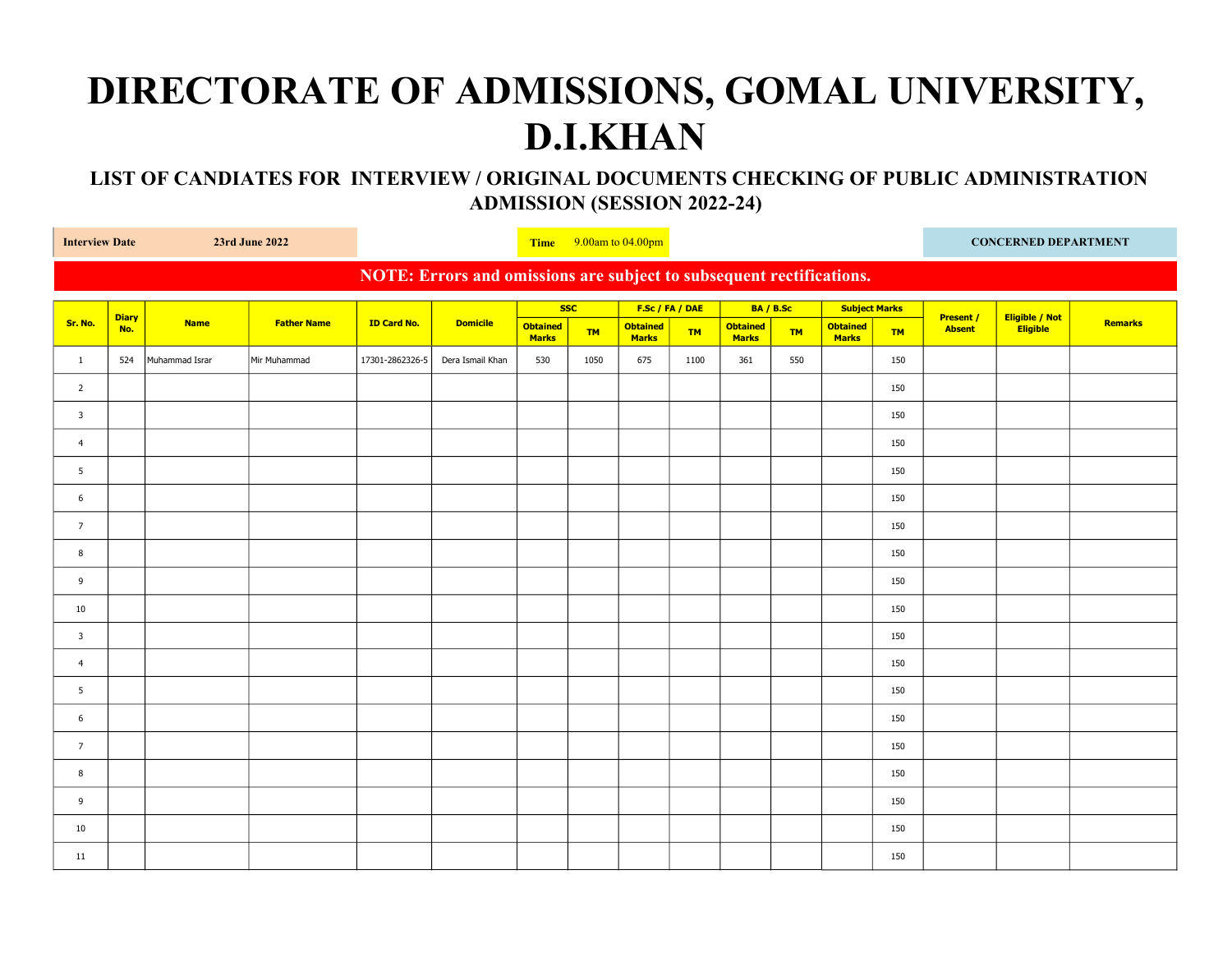## DIRECTORATE OF ADMISSIONS, GOMAL UNIVERSITY, D.I.KHAN

 LIST OF CANDIATES FOR INTERVIEW / ORIGINAL DOCUMENTS CHECKING OF PUBLIC ADMINISTRATION ADMISSION (SESSION 2022-24)

| 23rd June 2022<br><b>Interview Date</b>                              |                     |                |                    |                    | Time $9.00$ am to $04.00$ pm |                                 |           |                                 |           |                          |           |                                 | <b>CONCERNED DEPARTMENT</b> |                                   |                                   |                |
|----------------------------------------------------------------------|---------------------|----------------|--------------------|--------------------|------------------------------|---------------------------------|-----------|---------------------------------|-----------|--------------------------|-----------|---------------------------------|-----------------------------|-----------------------------------|-----------------------------------|----------------|
| NOTE: Errors and omissions are subject to subsequent rectifications. |                     |                |                    |                    |                              |                                 |           |                                 |           |                          |           |                                 |                             |                                   |                                   |                |
|                                                                      |                     |                |                    |                    | <b>Domicile</b>              | <b>SSC</b>                      |           | F.Sc / FA / DAE                 |           | BA / B.Sc                |           | <b>Subject Marks</b>            |                             |                                   |                                   |                |
| Sr. No.                                                              | <b>Diary</b><br>No. | <b>Name</b>    | <b>Father Name</b> | <b>ID Card No.</b> |                              | <b>Obtained</b><br><b>Marks</b> | <b>TM</b> | <b>Obtained</b><br><b>Marks</b> | <b>TM</b> | Obtained<br><b>Marks</b> | <b>TM</b> | <b>Obtained</b><br><b>Marks</b> | <b>TM</b>                   | <b>Present /</b><br><b>Absent</b> | Eligible / Not<br><b>Eligible</b> | <b>Remarks</b> |
| $\mathbf{1}$                                                         | 524                 | Muhammad Israr | Mir Muhammad       | 17301-2862326-5    | Dera Ismail Khan             | 530                             | 1050      | 675                             | 1100      | 361                      | 550       |                                 | 150                         |                                   |                                   |                |
| $\overline{2}$                                                       |                     |                |                    |                    |                              |                                 |           |                                 |           |                          |           |                                 | 150                         |                                   |                                   |                |
| $\overline{3}$                                                       |                     |                |                    |                    |                              |                                 |           |                                 |           |                          |           |                                 | 150                         |                                   |                                   |                |
| $\overline{4}$                                                       |                     |                |                    |                    |                              |                                 |           |                                 |           |                          |           |                                 | 150                         |                                   |                                   |                |
| 5 <sup>5</sup>                                                       |                     |                |                    |                    |                              |                                 |           |                                 |           |                          |           |                                 | 150                         |                                   |                                   |                |
| 6                                                                    |                     |                |                    |                    |                              |                                 |           |                                 |           |                          |           |                                 | 150                         |                                   |                                   |                |
| $\overline{7}$                                                       |                     |                |                    |                    |                              |                                 |           |                                 |           |                          |           |                                 | 150                         |                                   |                                   |                |
| 8                                                                    |                     |                |                    |                    |                              |                                 |           |                                 |           |                          |           |                                 | 150                         |                                   |                                   |                |
| 9                                                                    |                     |                |                    |                    |                              |                                 |           |                                 |           |                          |           |                                 | 150                         |                                   |                                   |                |
| 10                                                                   |                     |                |                    |                    |                              |                                 |           |                                 |           |                          |           |                                 | 150                         |                                   |                                   |                |
| $\overline{\mathbf{3}}$                                              |                     |                |                    |                    |                              |                                 |           |                                 |           |                          |           |                                 | 150                         |                                   |                                   |                |
| $\overline{4}$                                                       |                     |                |                    |                    |                              |                                 |           |                                 |           |                          |           |                                 | 150                         |                                   |                                   |                |
| 5                                                                    |                     |                |                    |                    |                              |                                 |           |                                 |           |                          |           |                                 | 150                         |                                   |                                   |                |
| 6                                                                    |                     |                |                    |                    |                              |                                 |           |                                 |           |                          |           |                                 | 150                         |                                   |                                   |                |
| $7\overline{ }$                                                      |                     |                |                    |                    |                              |                                 |           |                                 |           |                          |           |                                 | 150                         |                                   |                                   |                |
| 8                                                                    |                     |                |                    |                    |                              |                                 |           |                                 |           |                          |           |                                 | 150                         |                                   |                                   |                |
| 9                                                                    |                     |                |                    |                    |                              |                                 |           |                                 |           |                          |           |                                 | 150                         |                                   |                                   |                |
| 10                                                                   |                     |                |                    |                    |                              |                                 |           |                                 |           |                          |           |                                 | 150                         |                                   |                                   |                |
| 11                                                                   |                     |                |                    |                    |                              |                                 |           |                                 |           |                          |           |                                 | 150                         |                                   |                                   |                |